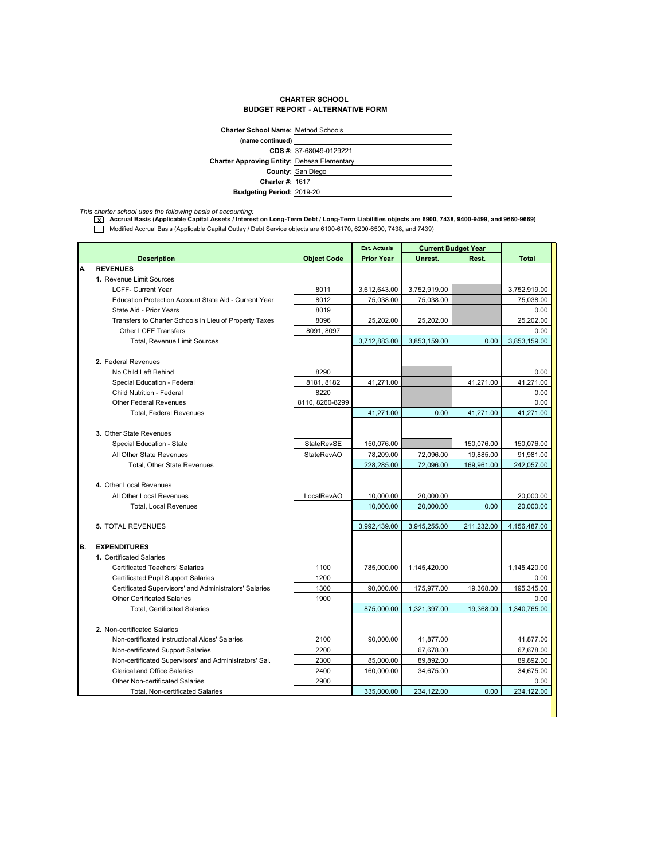## **CHARTER SCHOOL BUDGET REPORT - ALTERNATIVE FORM**

| <b>Charter School Name: Method Schools</b>         |                          |  |  |  |
|----------------------------------------------------|--------------------------|--|--|--|
| (name continued)                                   |                          |  |  |  |
|                                                    | CDS #: 37-68049-0129221  |  |  |  |
| <b>Charter Approving Entity: Dehesa Elementary</b> |                          |  |  |  |
|                                                    | <b>County: San Diego</b> |  |  |  |
| <b>Charter #: 1617</b>                             |                          |  |  |  |
| <b>Budgeting Period: 2019-20</b>                   |                          |  |  |  |
|                                                    |                          |  |  |  |

*This charter school uses the following basis of accounting:* **x Accrual Basis (Applicable Capital Assets / Interest on Long-Term Debt / Long-Term Liabilities objects are 6900, 7438, 9400-9499, and 9660-9669)** Modified Accrual Basis (Applicable Capital Outlay / Debt Service objects are 6100-6170, 6200-6500, 7438, and 7439)

|    |                                                        |                    | <b>Est. Actuals</b> | <b>Current Budget Year</b> |            |              |
|----|--------------------------------------------------------|--------------------|---------------------|----------------------------|------------|--------------|
|    | <b>Description</b>                                     | <b>Object Code</b> | <b>Prior Year</b>   | Unrest.                    | Rest.      | <b>Total</b> |
| А. | <b>REVENUES</b>                                        |                    |                     |                            |            |              |
|    | 1. Revenue Limit Sources                               |                    |                     |                            |            |              |
|    | <b>LCFF- Current Year</b>                              | 8011               | 3,612,643.00        | 3,752,919.00               |            | 3,752,919.00 |
|    | Education Protection Account State Aid - Current Year  | 8012               | 75,038.00           | 75,038.00                  |            | 75,038.00    |
|    | State Aid - Prior Years                                | 8019               |                     |                            |            | 0.00         |
|    | Transfers to Charter Schools in Lieu of Property Taxes | 8096               | 25.202.00           | 25,202.00                  |            | 25,202.00    |
|    | <b>Other LCFF Transfers</b>                            | 8091, 8097         |                     |                            |            | 0.00         |
|    | <b>Total, Revenue Limit Sources</b>                    |                    | 3,712,883.00        | 3,853,159.00               | 0.00       | 3,853,159.00 |
|    |                                                        |                    |                     |                            |            |              |
|    | 2. Federal Revenues                                    |                    |                     |                            |            |              |
|    | No Child Left Behind                                   | 8290               |                     |                            |            | 0.00         |
|    | Special Education - Federal                            | 8181, 8182         | 41,271.00           |                            | 41,271.00  | 41,271.00    |
|    | Child Nutrition - Federal                              | 8220               |                     |                            |            | 0.00         |
|    | <b>Other Federal Revenues</b>                          | 8110, 8260-8299    |                     |                            |            | 0.00         |
|    | <b>Total, Federal Revenues</b>                         |                    | 41,271.00           | 0.00                       | 41,271.00  | 41,271.00    |
|    |                                                        |                    |                     |                            |            |              |
|    | 3. Other State Revenues                                |                    |                     |                            |            |              |
|    | Special Education - State                              | StateRevSE         | 150,076.00          |                            | 150,076.00 | 150,076.00   |
|    | All Other State Revenues                               | <b>StateRevAO</b>  | 78,209.00           | 72,096.00                  | 19,885.00  | 91,981.00    |
|    | Total, Other State Revenues                            |                    | 228,285.00          | 72.096.00                  | 169,961.00 | 242,057.00   |
|    |                                                        |                    |                     |                            |            |              |
|    | 4. Other Local Revenues                                |                    |                     |                            |            |              |
|    | All Other Local Revenues                               | LocalRevAO         | 10,000.00           | 20,000.00                  |            | 20,000.00    |
|    | <b>Total, Local Revenues</b>                           |                    | 10,000.00           | 20,000.00                  | 0.00       | 20,000.00    |
|    |                                                        |                    |                     |                            |            |              |
|    | <b>5. TOTAL REVENUES</b>                               |                    | 3,992,439.00        | 3,945,255.00               | 211,232.00 | 4,156,487.00 |
|    |                                                        |                    |                     |                            |            |              |
| В. | <b>EXPENDITURES</b>                                    |                    |                     |                            |            |              |
|    | 1. Certificated Salaries                               |                    |                     |                            |            |              |
|    | <b>Certificated Teachers' Salaries</b>                 | 1100               | 785,000.00          | 1,145,420.00               |            | 1,145,420.00 |
|    | <b>Certificated Pupil Support Salaries</b>             | 1200               |                     |                            |            | 0.00         |
|    | Certificated Supervisors' and Administrators' Salaries | 1300               | 90,000.00           | 175,977.00                 | 19,368.00  | 195,345.00   |
|    | <b>Other Certificated Salaries</b>                     | 1900               |                     |                            |            | 0.00         |
|    | <b>Total, Certificated Salaries</b>                    |                    | 875.000.00          | 1,321,397.00               | 19.368.00  | 1,340,765.00 |
|    |                                                        |                    |                     |                            |            |              |
|    | 2. Non-certificated Salaries                           |                    |                     |                            |            |              |
|    | Non-certificated Instructional Aides' Salaries         | 2100               | 90,000.00           | 41,877.00                  |            | 41,877.00    |
|    | Non-certificated Support Salaries                      | 2200               |                     | 67,678.00                  |            | 67,678.00    |
|    | Non-certificated Supervisors' and Administrators' Sal. | 2300               | 85,000.00           | 89,892.00                  |            | 89,892.00    |
|    | <b>Clerical and Office Salaries</b>                    | 2400               | 160,000.00          | 34,675.00                  |            | 34,675.00    |
|    | <b>Other Non-certificated Salaries</b>                 | 2900               |                     |                            |            | 0.00         |
|    | Total, Non-certificated Salaries                       |                    | 335,000.00          | 234,122.00                 | 0.00       | 234,122.00   |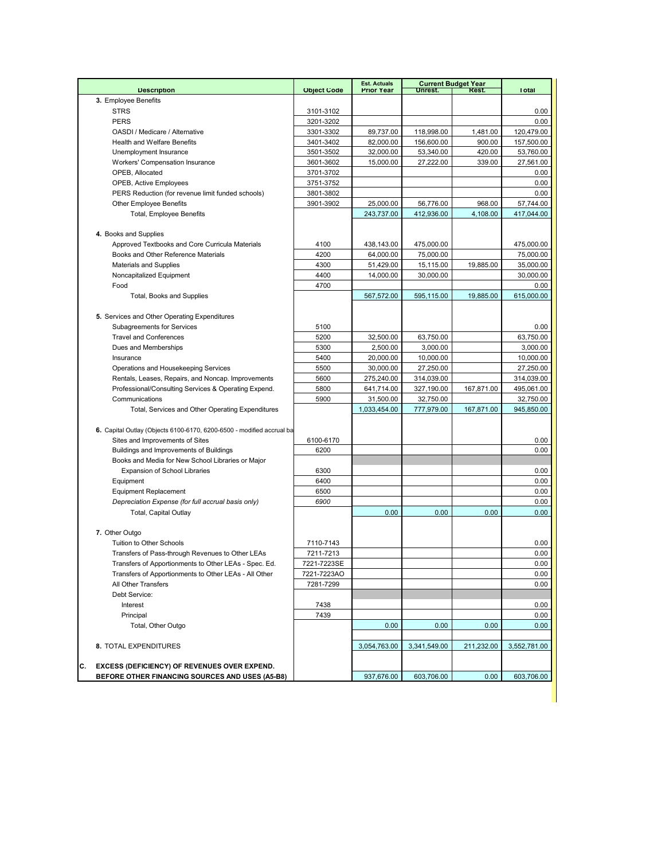| <b>Description</b>                                                    | <b>Object Code</b> | <b>Est. Actuals</b><br><b>Prior Year</b> | Unrest.      | <b>Current Budget Year</b><br>Rest. | <b>Total</b>      |
|-----------------------------------------------------------------------|--------------------|------------------------------------------|--------------|-------------------------------------|-------------------|
| 3. Employee Benefits                                                  |                    |                                          |              |                                     |                   |
| <b>STRS</b>                                                           | 3101-3102          |                                          |              |                                     | 0.00              |
| <b>PERS</b>                                                           | 3201-3202          |                                          |              |                                     | 0.00              |
| OASDI / Medicare / Alternative                                        | 3301-3302          | 89,737.00                                | 118,998.00   | 1,481.00                            | 120,479.00        |
| <b>Health and Welfare Benefits</b>                                    | 3401-3402          | 82,000.00                                | 156,600.00   | 900.00                              | 157,500.00        |
| Unemployment Insurance                                                | 3501-3502          | 32,000.00                                | 53,340.00    | 420.00                              | 53,760.00         |
| Workers' Compensation Insurance                                       | 3601-3602          | 15,000.00                                | 27,222.00    | 339.00                              | 27,561.00         |
| OPEB, Allocated                                                       | 3701-3702          |                                          |              |                                     | 0.00              |
| OPEB, Active Employees                                                | 3751-3752          |                                          |              |                                     | 0.00              |
| PERS Reduction (for revenue limit funded schools)                     | 3801-3802          |                                          |              |                                     | 0.00              |
| <b>Other Employee Benefits</b>                                        | 3901-3902          | 25,000.00                                | 56,776.00    | 968.00                              | 57.744.00         |
| <b>Total, Employee Benefits</b>                                       |                    | 243,737.00                               | 412,936.00   | 4,108.00                            | 417.044.00        |
|                                                                       |                    |                                          |              |                                     |                   |
| 4. Books and Supplies                                                 |                    |                                          |              |                                     |                   |
| Approved Textbooks and Core Curricula Materials                       | 4100               | 438,143.00                               | 475,000.00   |                                     | 475,000.00        |
| Books and Other Reference Materials                                   | 4200               | 64,000.00                                | 75,000.00    |                                     | 75,000.00         |
| <b>Materials and Supplies</b>                                         | 4300               | 51,429.00                                | 15,115.00    | 19,885.00                           | 35,000.00         |
| Noncapitalized Equipment                                              | 4400               | 14,000.00                                | 30,000.00    |                                     | 30,000.00         |
| Food                                                                  | 4700               |                                          |              |                                     | $0.00\,$          |
| Total, Books and Supplies                                             |                    | 567,572.00                               | 595,115.00   | 19,885.00                           | 615,000.00        |
|                                                                       |                    |                                          |              |                                     |                   |
| 5. Services and Other Operating Expenditures                          |                    |                                          |              |                                     |                   |
| Subagreements for Services                                            | 5100               |                                          |              |                                     | 0.00              |
| <b>Travel and Conferences</b>                                         | 5200               | 32,500.00                                | 63,750.00    |                                     | 63,750.00         |
| Dues and Memberships                                                  | 5300               | 2,500.00                                 | 3,000.00     |                                     | 3,000.00          |
| Insurance                                                             | 5400               | 20,000.00                                | 10,000.00    |                                     | 10,000.00         |
| Operations and Housekeeping Services                                  | 5500               | 30,000.00                                | 27,250.00    |                                     | 27,250.00         |
| Rentals, Leases, Repairs, and Noncap. Improvements                    | 5600               | 275,240.00                               | 314,039.00   |                                     | 314,039.00        |
| Professional/Consulting Services & Operating Expend.                  | 5800               | 641,714.00                               | 327,190.00   | 167,871.00                          | 495,061.00        |
| Communications                                                        | 5900               | 31,500.00                                | 32,750.00    |                                     | 32,750.00         |
| Total, Services and Other Operating Expenditures                      |                    | 1,033,454.00                             | 777,979.00   | 167,871.00                          | 945,850.00        |
|                                                                       |                    |                                          |              |                                     |                   |
| 6. Capital Outlay (Objects 6100-6170, 6200-6500 - modified accrual ba |                    |                                          |              |                                     |                   |
| Sites and Improvements of Sites                                       | 6100-6170          |                                          |              |                                     | 0.00              |
| Buildings and Improvements of Buildings                               | 6200               |                                          |              |                                     | 0.00              |
| Books and Media for New School Libraries or Major                     |                    |                                          |              |                                     |                   |
| <b>Expansion of School Libraries</b>                                  | 6300               |                                          |              |                                     | 0.00              |
| Equipment                                                             | 6400               |                                          |              |                                     | 0.00              |
| <b>Equipment Replacement</b>                                          | 6500               |                                          |              |                                     | 0.00              |
| Depreciation Expense (for full accrual basis only)                    | 6900               |                                          |              |                                     | 0.00              |
| Total, Capital Outlay                                                 |                    | 0.00                                     | 0.00         | 0.00                                | 0.00              |
|                                                                       |                    |                                          |              |                                     |                   |
| 7. Other Outgo                                                        |                    |                                          |              |                                     |                   |
| Tuition to Other Schools                                              | 7110-7143          |                                          |              |                                     | 0.00              |
| Transfers of Pass-through Revenues to Other LEAs                      | 7211-7213          |                                          |              |                                     | 0.00              |
| Transfers of Apportionments to Other LEAs - Spec. Ed.                 | 7221-7223SE        |                                          |              |                                     | 0.00              |
| Transfers of Apportionments to Other LEAs - All Other                 | 7221-7223AO        |                                          |              |                                     | 0.00              |
| All Other Transfers                                                   | 7281-7299          |                                          |              |                                     | 0.00              |
| Debt Service:                                                         |                    |                                          |              |                                     |                   |
| Interest                                                              | 7438               |                                          |              |                                     | 0.00              |
| Principal                                                             | 7439               |                                          |              |                                     | 0.00              |
| Total, Other Outgo                                                    |                    | 0.00                                     | 0.00         | 0.00                                | 0.00 <sub>1</sub> |
|                                                                       |                    |                                          |              |                                     |                   |
| 8. TOTAL EXPENDITURES                                                 |                    | 3,054,763.00                             | 3,341,549.00 | 211,232.00                          | 3,552,781.00      |
|                                                                       |                    |                                          |              |                                     |                   |
| С.<br><b>EXCESS (DEFICIENCY) OF REVENUES OVER EXPEND.</b>             |                    |                                          |              |                                     | 603,706.00        |
| BEFORE OTHER FINANCING SOURCES AND USES (A5-B8)                       |                    | 937,676.00                               | 603,706.00   | 0.00                                |                   |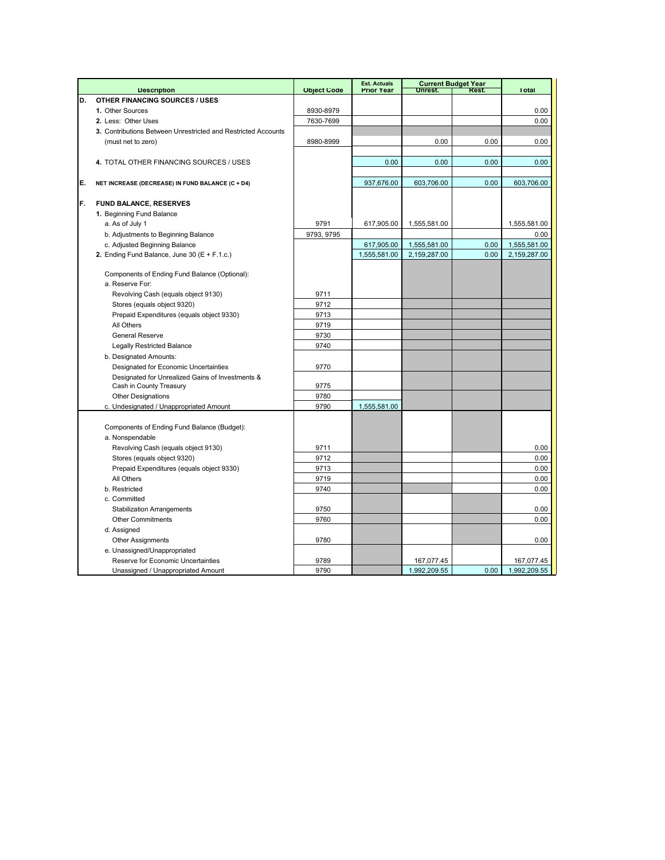|    |                                                                             |                    | <b>Est. Actuals</b> |              | <b>Current Budget Year</b> |              |
|----|-----------------------------------------------------------------------------|--------------------|---------------------|--------------|----------------------------|--------------|
|    | <b>Description</b>                                                          | <b>Object Code</b> | <b>Prior Year</b>   | Unrest.      | Rest.                      | <b>Total</b> |
| D. | <b>OTHER FINANCING SOURCES / USES</b><br>1. Other Sources                   |                    |                     |              |                            |              |
|    |                                                                             | 8930-8979          |                     |              |                            | 0.00         |
|    | 2. Less: Other Uses                                                         | 7630-7699          |                     |              |                            | 0.00         |
|    | 3. Contributions Between Unrestricted and Restricted Accounts               |                    |                     |              |                            |              |
|    | (must net to zero)                                                          | 8980-8999          |                     | 0.00         | 0.00                       | 0.00         |
|    |                                                                             |                    |                     |              |                            |              |
|    | 4. TOTAL OTHER FINANCING SOURCES / USES                                     |                    | 0.00                | 0.00         | 0.00                       | 0.00         |
| E. | NET INCREASE (DECREASE) IN FUND BALANCE (C + D4)                            |                    | 937,676.00          | 603,706.00   | 0.00                       | 603,706.00   |
|    |                                                                             |                    |                     |              |                            |              |
| F. | FUND BALANCE, RESERVES                                                      |                    |                     |              |                            |              |
|    | 1. Beginning Fund Balance                                                   |                    |                     |              |                            |              |
|    | a. As of July 1                                                             | 9791               | 617,905.00          | 1,555,581.00 |                            | 1,555,581.00 |
|    | b. Adjustments to Beginning Balance                                         | 9793, 9795         |                     |              |                            | 0.00         |
|    | c. Adjusted Beginning Balance                                               |                    | 617,905.00          | 1,555,581.00 | 0.00                       | 1,555,581.00 |
|    | 2. Ending Fund Balance, June 30 (E + F.1.c.)                                |                    | 1,555,581.00        | 2,159,287.00 | 0.00                       | 2,159,287.00 |
|    |                                                                             |                    |                     |              |                            |              |
|    | Components of Ending Fund Balance (Optional):                               |                    |                     |              |                            |              |
|    | a. Reserve For:                                                             |                    |                     |              |                            |              |
|    | Revolving Cash (equals object 9130)                                         | 9711               |                     |              |                            |              |
|    | Stores (equals object 9320)                                                 | 9712               |                     |              |                            |              |
|    | Prepaid Expenditures (equals object 9330)                                   | 9713               |                     |              |                            |              |
|    | All Others                                                                  | 9719               |                     |              |                            |              |
|    | <b>General Reserve</b>                                                      | 9730               |                     |              |                            |              |
|    | <b>Legally Restricted Balance</b>                                           | 9740               |                     |              |                            |              |
|    | b. Designated Amounts:                                                      |                    |                     |              |                            |              |
|    | Designated for Economic Uncertainties                                       | 9770               |                     |              |                            |              |
|    | Designated for Unrealized Gains of Investments &<br>Cash in County Treasury | 9775               |                     |              |                            |              |
|    | <b>Other Designations</b>                                                   | 9780               |                     |              |                            |              |
|    | c. Undesignated / Unappropriated Amount                                     | 9790               | 1,555,581.00        |              |                            |              |
|    |                                                                             |                    |                     |              |                            |              |
|    | Components of Ending Fund Balance (Budget):                                 |                    |                     |              |                            |              |
|    | a. Nonspendable                                                             |                    |                     |              |                            |              |
|    | Revolving Cash (equals object 9130)                                         | 9711               |                     |              |                            | 0.00         |
|    | Stores (equals object 9320)                                                 | 9712               |                     |              |                            | 0.00         |
|    | Prepaid Expenditures (equals object 9330)                                   | 9713               |                     |              |                            | 0.00         |
|    | All Others                                                                  | 9719               |                     |              |                            | 0.00         |
|    | b. Restricted                                                               | 9740               |                     |              |                            | 0.00         |
|    | c. Committed                                                                |                    |                     |              |                            |              |
|    | <b>Stabilization Arrangements</b>                                           | 9750               |                     |              |                            | 0.00         |
|    | <b>Other Commitments</b>                                                    | 9760               |                     |              |                            | 0.00         |
|    | d. Assigned                                                                 |                    |                     |              |                            |              |
|    | <b>Other Assignments</b>                                                    | 9780               |                     |              |                            | 0.00         |
|    | e. Unassigned/Unappropriated                                                |                    |                     |              |                            |              |
|    | Reserve for Economic Uncertainties                                          | 9789               |                     | 167,077.45   |                            | 167,077.45   |
|    | Unassigned / Unappropriated Amount                                          | 9790               |                     | 1,992,209.55 | 0.00                       | 1,992,209.55 |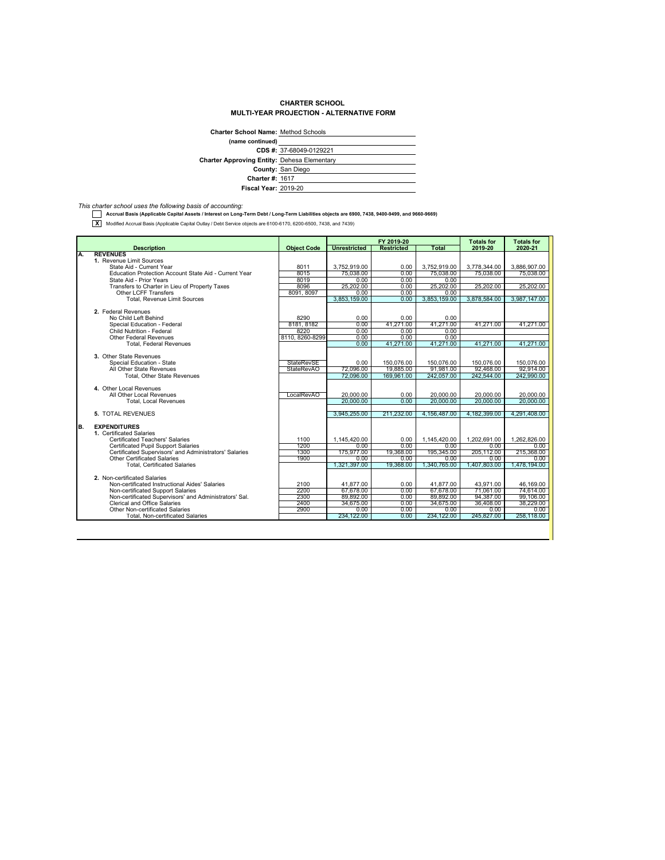## **CHARTER SCHOOL MULTI-YEAR PROJECTION - ALTERNATIVE FORM**

| <b>Charter School Name: Method Schools</b>         |                         |  |  |  |
|----------------------------------------------------|-------------------------|--|--|--|
| (name continued)                                   |                         |  |  |  |
|                                                    | CDS #: 37-68049-0129221 |  |  |  |
| <b>Charter Approving Entity: Dehesa Elementary</b> |                         |  |  |  |
|                                                    | County: San Diego       |  |  |  |
| <b>Charter #: 1617</b>                             |                         |  |  |  |
| <b>Fiscal Year: 2019-20</b>                        |                         |  |  |  |

*This charter school uses the following basis of accounting:*  **Accrual Basis (Applicable Capital Assets / Interest on Long-Term Debt / Long-Term Liabilities objects are 6900, 7438, 9400-9499, and 9660-9669)**

**X** Modified Accrual Basis (Applicable Capital Outlay / Debt Service objects are 6100-6170, 6200-6500, 7438, and 7439)

|    |                                                                                             |                    |                        | FY 2019-20        |                        | <b>Totals for</b>      | <b>Totals for</b>      |
|----|---------------------------------------------------------------------------------------------|--------------------|------------------------|-------------------|------------------------|------------------------|------------------------|
|    | <b>Description</b>                                                                          | <b>Object Code</b> | <b>Unrestricted</b>    | <b>Restricted</b> | Total                  | 2019-20                | 2020-21                |
| Α. | <b>REVENUES</b>                                                                             |                    |                        |                   |                        |                        |                        |
|    | 1. Revenue Limit Sources                                                                    |                    |                        |                   |                        |                        |                        |
|    | State Aid - Current Year                                                                    | 8011<br>8015       | 3.752.919.00           | 0.00              | 3.752.919.00           | 3.778.344.00           | 3.886.907.00           |
|    | Education Protection Account State Aid - Current Year                                       | 8019               | 75.038.00<br>0.00      | 0.00<br>0.00      | 75.038.00<br>0.00      | 75.038.00              | 75.038.00              |
|    | State Aid - Prior Years<br>Transfers to Charter in Lieu of Property Taxes                   | 8096               | 25,202.00              | 0.00              | 25,202.00              | 25,202.00              | 25,202.00              |
|    | Other LCFF Transfers                                                                        | 8091, 8097         | 0.00                   | 0.00              | 0.00                   |                        |                        |
|    | <b>Total, Revenue Limit Sources</b>                                                         |                    | 3.853.159.00           | 0.00              | 3.853.159.00           | 3.878.584.00           | 3.987.147.00           |
|    |                                                                                             |                    |                        |                   |                        |                        |                        |
|    | 2. Federal Revenues                                                                         |                    |                        |                   |                        |                        |                        |
|    | No Child Left Behind                                                                        | 8290               | 0.00                   | 0.00              | 0.00                   |                        |                        |
|    | Special Education - Federal                                                                 | 8181, 8182         | 0.00                   | 41.271.00         | 41.271.00              | 41.271.00              | 41.271.00              |
|    | Child Nutrition - Federal                                                                   | 8220               | 0.00                   | 0.00              | 0.00                   |                        |                        |
|    | Other Federal Revenues                                                                      | 8110, 8260-8299    | 0.00                   | 0.00              | 0.00                   |                        |                        |
|    | <b>Total, Federal Revenues</b>                                                              |                    | 0.00                   | 41.271.00         | 41.271.00              | 41.271.00              | 41.271.00              |
|    |                                                                                             |                    |                        |                   |                        |                        |                        |
|    | 3. Other State Revenues                                                                     |                    |                        |                   |                        |                        |                        |
|    | Special Education - State                                                                   | <b>StateRevSE</b>  | 0.00                   | 150.076.00        | 150.076.00             | 150.076.00             | 150.076.00             |
|    | All Other State Revenues                                                                    | <b>StateRevAO</b>  | 72.096.00              | 19,885.00         | 91.981.00              | 92,468.00              | 92.914.00              |
|    | Total, Other State Revenues                                                                 |                    | 72.096.00              | 169,961.00        | 242.057.00             | 242.544.00             | 242.990.00             |
|    |                                                                                             |                    |                        |                   |                        |                        |                        |
|    | 4. Other Local Revenues<br>All Other Local Revenues                                         | LocalRevAO         |                        | 0.00              |                        | 20,000.00              |                        |
|    | <b>Total, Local Revenues</b>                                                                |                    | 20.000.00<br>20,000,00 | 0.00              | 20.000.00<br>20.000.00 | 20,000,00              | 20,000.00<br>20,000,00 |
|    |                                                                                             |                    |                        |                   |                        |                        |                        |
|    | <b>5. TOTAL REVENUES</b>                                                                    |                    | 3.945.255.00           | 211.232.00        | 4.156.487.00           | 4.182.399.00           | 4.291.408.00           |
|    |                                                                                             |                    |                        |                   |                        |                        |                        |
| B. | <b>EXPENDITURES</b>                                                                         |                    |                        |                   |                        |                        |                        |
|    | 1. Certificated Salaries                                                                    |                    |                        |                   |                        |                        |                        |
|    | Certificated Teachers' Salaries                                                             | 1100               | 1.145.420.00           | 0.00              | 1.145.420.00           | 1.202.691.00           | 1.262.826.00           |
|    | <b>Certificated Pupil Support Salaries</b>                                                  | 1200               | 0.00                   | 0.00              | 0.00                   | 0.00                   | 0.00                   |
|    | Certificated Supervisors' and Administrators' Salaries                                      | 1300               | 175,977.00             | 19,368.00         | 195,345.00             | 205,112.00             | 215,368,00             |
|    | <b>Other Certificated Salaries</b>                                                          | 1900               | 0.00                   | 0.00              | 0.00                   | 0.00                   | 0.00                   |
|    | <b>Total, Certificated Salaries</b>                                                         |                    | 1.321.397.00           | 19,368.00         | 1.340.765.00           | 1.407.803.00           | 1.478,194.00           |
|    |                                                                                             |                    |                        |                   |                        |                        |                        |
|    | 2. Non-certificated Salaries                                                                |                    |                        |                   |                        |                        |                        |
|    | Non-certificated Instructional Aides' Salaries                                              | 2100<br>2200       | 41.877.00<br>67.678.00 | 0.00<br>0.00      | 41.877.00<br>67.678.00 | 43.971.00<br>71.061.00 | 46.169.00<br>74.614.00 |
|    | Non-certificated Support Salaries<br>Non-certificated Supervisors' and Administrators' Sal. | 2300               | 89.892.00              | 0.00              | 89.892.00              | 94.387.00              | 99,106.00              |
|    | <b>Clerical and Office Salaries</b>                                                         | 2400               | 34.675.00              | 0.00              | 34.675.00              | 36.408.00              | 38,229.00              |
|    | Other Non-certificated Salaries                                                             | 2900               | 0.00                   | 0.00              | 0.00                   | 0.00                   | 0.00                   |
|    | <b>Total, Non-certificated Salaries</b>                                                     |                    | 234,122.00             | 0.00              | 234,122.00             | 245,827.00             | 258,118.00             |
|    |                                                                                             |                    |                        |                   |                        |                        |                        |
|    |                                                                                             |                    |                        |                   |                        |                        |                        |
|    |                                                                                             |                    |                        |                   |                        |                        |                        |
|    |                                                                                             |                    |                        |                   |                        |                        |                        |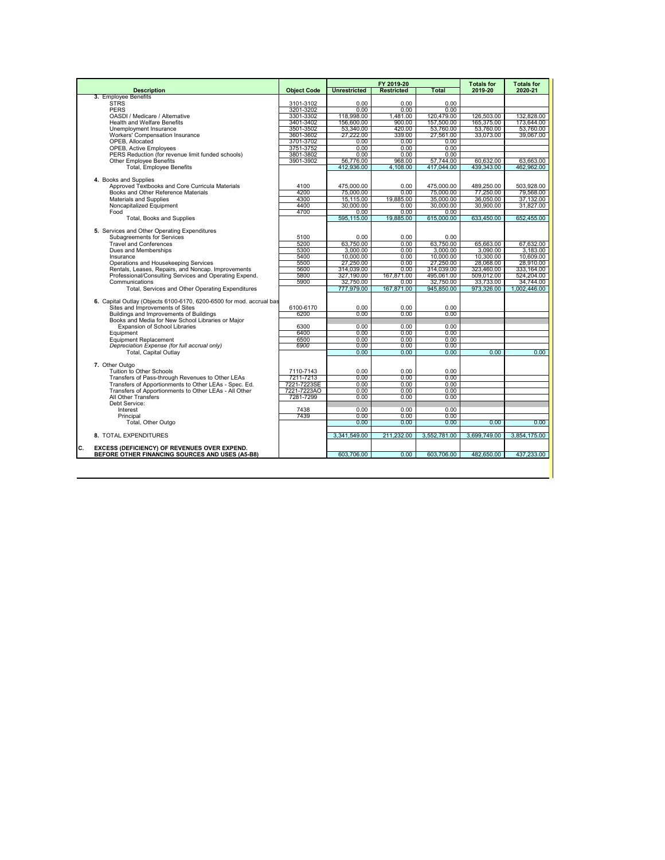|                                                                                           |                        |                     | FY 2019-20        |                  | <b>Totals for</b> | <b>Totals for</b> |
|-------------------------------------------------------------------------------------------|------------------------|---------------------|-------------------|------------------|-------------------|-------------------|
| <b>Description</b>                                                                        | <b>Object Code</b>     | <b>Unrestricted</b> | <b>Restricted</b> | Total            | 2019-20           | 2020-21           |
| 3. Employee Benefits                                                                      |                        |                     |                   |                  |                   |                   |
| <b>STRS</b><br><b>PERS</b>                                                                | 3101-3102              | 0.00<br>0.00        | 0.00<br>0.00      | $0.00 -$<br>0.00 |                   |                   |
| OASDI / Medicare / Alternative                                                            | 3201-3202<br>3301-3302 | 118,998.00          | 1.481.00          | 120,479.00       | 126,503.00        | 132,828.00        |
| <b>Health and Welfare Benefits</b>                                                        | 3401-3402              | 156,600.00          | 900.00            | 157,500.00       | 165,375.00        | 173,644.00        |
| Unemployment Insurance                                                                    | 3501-3502              | 53,340.00           | 420.00            | 53,760.00        | 53.760.00         | 53,760.00         |
| Workers' Compensation Insurance                                                           | 3601-3602              | 27.222.00           | 339.00            | 27.561.00        | 33.073.00         | 39.067.00         |
| OPEB. Allocated                                                                           | 3701-3702              | 0.00                | 0.00              | 0.00             |                   |                   |
| <b>OPEB, Active Employees</b>                                                             | 3751-3752              | 0.00                | 0.00              | 0.00             |                   |                   |
| PERS Reduction (for revenue limit funded schools)                                         | 3801-3802              | 0.00                | 0.00              | 0.00             |                   |                   |
| <b>Other Employee Benefits</b>                                                            | 3901-3902              | 56,776.00           | 968.00            | 57,744.00        | 60.632.00         | 63,663.00         |
| <b>Total, Employee Benefits</b>                                                           |                        | 412,936.00          | 4,108.00          | 417,044.00       | 439,343.00        | 462,962.00        |
|                                                                                           |                        |                     |                   |                  |                   |                   |
| 4. Books and Supplies                                                                     |                        |                     |                   |                  |                   |                   |
| Approved Textbooks and Core Curricula Materials                                           | 4100                   | 475.000.00          | 0.00              | 475.000.00       | 489.250.00        | 503.928.00        |
| Books and Other Reference Materials                                                       | 4200                   | 75,000.00           | 0.00              | 75,000.00        | 77.250.00         | 79.568.00         |
| Materials and Supplies                                                                    | 4300                   | 15.115.00           | 19.885.00         | 35,000.00        | 36.050.00         | 37.132.00         |
| Noncapitalized Equipment                                                                  | 4400                   | 30,000.00           | 0.00              | 30,000.00        | 30.900.00         | 31,827.00         |
| Food                                                                                      | 4700                   | 0.00                | 0.00              | 0.00             |                   |                   |
| Total, Books and Supplies                                                                 |                        | 595.115.00          | 19,885.00         | 615,000.00       | 633.450.00        | 652.455.00        |
| 5. Services and Other Operating Expenditures                                              |                        |                     |                   |                  |                   |                   |
| Subagreements for Services                                                                | 5100                   | 0.00                | 0.00              | 0.00             |                   |                   |
| <b>Travel and Conferences</b>                                                             | 5200                   | 63.750.00           | $0.00 -$          | 63.750.00        | 65.663.00         | 67.632.00         |
| Dues and Memberships                                                                      | 5300                   | 3.000.00            | 0.00              | 3.000.00         | 3.090.00          | 3.183.00          |
| Insurance                                                                                 | 5400                   | 10.000.00           | 0.00              | 10.000.00        | 10.300.00         | 10.609.00         |
| Operations and Housekeeping Services                                                      | 5500                   | 27.250.00           | 0.00              | 27,250.00        | 28.068.00         | 28.910.00         |
| Rentals, Leases, Repairs, and Noncap. Improvements                                        | 5600                   | 314,039.00          | 0.00              | 314,039.00       | 323,460.00        | 333,164.00        |
| Professional/Consulting Services and Operating Expend.                                    | 5800                   | 327.190.00          | 167.871.00        | 495.061.00       | 509,012.00        | 524,204.00        |
| Communications                                                                            | 5900                   | 32.750.00           | $0.00 -$          | 32.750.00        | 33.733.00         | 34.744.00         |
| Total, Services and Other Operating Expenditures                                          |                        | 777,979.00          | 167,871.00        | 945,850.00       | 973,326.00        | 1,002,446.00      |
|                                                                                           |                        |                     |                   |                  |                   |                   |
| 6. Capital Outlay (Objects 6100-6170, 6200-6500 for mod, accrual bas                      |                        |                     |                   |                  |                   |                   |
| Sites and Improvements of Sites                                                           | 6100-6170              | 0.00                | 0.00              | 0.00             |                   |                   |
| Buildings and Improvements of Buildings                                                   | 6200                   | 0.00                | 0.00              | 0.00             |                   |                   |
| Books and Media for New School Libraries or Maior<br><b>Expansion of School Libraries</b> |                        | 0.00                | 0.00              | 0.00             |                   |                   |
| Equipment                                                                                 | 6300<br>6400           | 0.00                | 0.00              | 0.00             |                   |                   |
| <b>Equipment Replacement</b>                                                              | 6500                   | 0.00                | 0.00              | 0.00             |                   |                   |
| Depreciation Expense (for full accrual only)                                              | 6900                   | 0.00                | 0.00              | 0.00             |                   |                   |
| <b>Total, Capital Outlav</b>                                                              |                        | 0.00                | 0.00              | 0.00             | 0.00              | 0.00              |
|                                                                                           |                        |                     |                   |                  |                   |                   |
| 7. Other Outgo                                                                            |                        |                     |                   |                  |                   |                   |
| Tuition to Other Schools                                                                  | 7110-7143              | 0.00                | 0.00              | 0.00             |                   |                   |
| Transfers of Pass-through Revenues to Other LEAs                                          | 7211-7213              | 0.00                | 0.00              | 0.00             |                   |                   |
| Transfers of Apportionments to Other LEAs - Spec. Ed.                                     | 7221-7223SE            | 0.00                | 0.00              | 0.00             |                   |                   |
| Transfers of Apportionments to Other LEAs - All Other                                     | 7221-7223AO            | 0.00                | 0.00              | 0.00             |                   |                   |
| All Other Transfers                                                                       | 7281-7299              | 0.00                | 0.00              | 0.00             |                   |                   |
| Debt Service:                                                                             |                        |                     |                   |                  |                   |                   |
| Interest                                                                                  | 7438                   | 0.00                | 0.00              | 0.00             |                   |                   |
| Principal                                                                                 | 7439                   | 0.00                | 0.00              | 0.00             |                   |                   |
| Total, Other Outgo                                                                        |                        | 0.00                | 0.00              | 0.00             | 0.00              | 0.00              |
| 8. TOTAL EXPENDITURES                                                                     |                        | 3.341.549.00        | 211.232.00        | 3,552,781.00     | 3.699.749.00      | 3.854.175.00      |
|                                                                                           |                        |                     |                   |                  |                   |                   |
| c.<br><b>EXCESS (DEFICIENCY) OF REVENUES OVER EXPEND.</b>                                 |                        |                     |                   |                  |                   |                   |
| BEFORE OTHER FINANCING SOURCES AND USES (A5-B8)                                           |                        | 603,706.00          | 0.00              | 603,706.00       | 482,650.00        | 437,233.00        |
|                                                                                           |                        |                     |                   |                  |                   |                   |
|                                                                                           |                        |                     |                   |                  |                   |                   |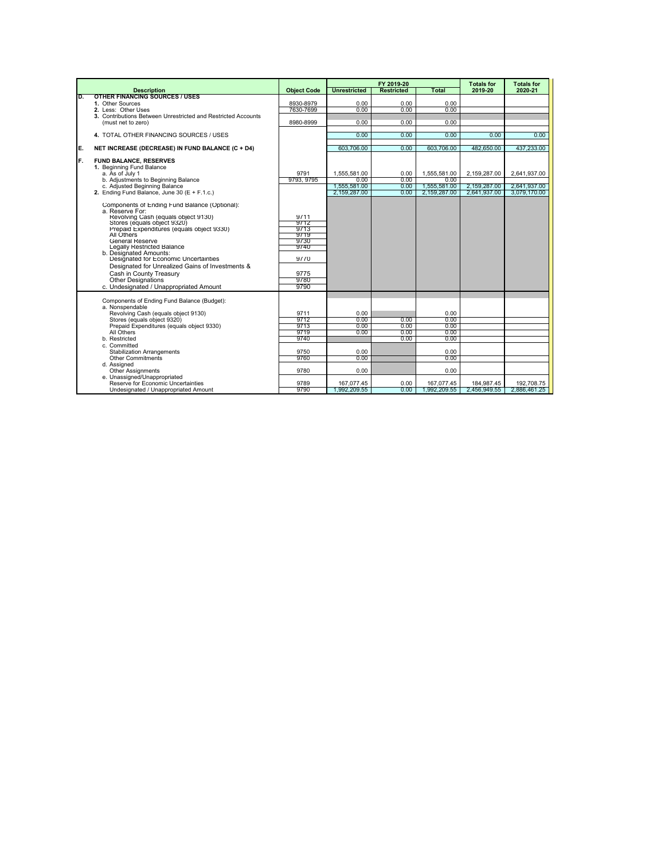|     |                                                                                                                                                                                                                                                                                                                                                                                                                                                                              |                                                                              |                                                                    | FY 2019-20                           |                                                                            | <b>Totals for</b>                            | <b>Totals for</b>                            |
|-----|------------------------------------------------------------------------------------------------------------------------------------------------------------------------------------------------------------------------------------------------------------------------------------------------------------------------------------------------------------------------------------------------------------------------------------------------------------------------------|------------------------------------------------------------------------------|--------------------------------------------------------------------|--------------------------------------|----------------------------------------------------------------------------|----------------------------------------------|----------------------------------------------|
|     | <b>Description</b>                                                                                                                                                                                                                                                                                                                                                                                                                                                           | <b>Object Code</b>                                                           | <b>Unrestricted</b>                                                | <b>Restricted</b>                    | Total                                                                      | 2019-20                                      | 2020-21                                      |
| D.  | <b>OTHER FINANCING SOURCES / USES</b><br>1. Other Sources                                                                                                                                                                                                                                                                                                                                                                                                                    | 8930-8979                                                                    | 0.00                                                               | 0.00                                 | 0.00                                                                       |                                              |                                              |
|     | 2. Less: Other Uses                                                                                                                                                                                                                                                                                                                                                                                                                                                          | 7630-7699                                                                    | 0.00                                                               | 0.00                                 | 0.00                                                                       |                                              |                                              |
|     | 3. Contributions Between Unrestricted and Restricted Accounts                                                                                                                                                                                                                                                                                                                                                                                                                |                                                                              |                                                                    |                                      |                                                                            |                                              |                                              |
|     | (must net to zero)                                                                                                                                                                                                                                                                                                                                                                                                                                                           | 8980-8999                                                                    | 0.00                                                               | 0.00                                 | 0.00                                                                       |                                              |                                              |
|     |                                                                                                                                                                                                                                                                                                                                                                                                                                                                              |                                                                              |                                                                    |                                      |                                                                            |                                              |                                              |
|     | 4. TOTAL OTHER FINANCING SOURCES / USES                                                                                                                                                                                                                                                                                                                                                                                                                                      |                                                                              | 0.00                                                               | 0.00                                 | 0.00                                                                       | 0.00                                         | 0.00                                         |
| IE. | NET INCREASE (DECREASE) IN FUND BALANCE (C + D4)                                                                                                                                                                                                                                                                                                                                                                                                                             |                                                                              | 603,706.00                                                         | 0.00                                 | 603.706.00                                                                 | 482.650.00                                   | 437.233.00                                   |
| IF. | <b>FUND BALANCE, RESERVES</b><br>1. Beginning Fund Balance<br>a. As of July 1<br>b. Adjustments to Beginning Balance<br>c. Adjusted Beginning Balance<br>2. Ending Fund Balance. June 30 $(E + F.1.c.)$                                                                                                                                                                                                                                                                      | 9791<br>9793, 9795                                                           | 1.555.581.00<br>0.00<br>1,555,581.00<br>2.159.287.00               | 0.00<br>0.00<br>0.00<br>0.00         | 1.555.581.00<br>0.00<br>1,555,581.00<br>2.159.287.00                       | 2.159.287.00<br>2,159,287.00<br>2.641.937.00 | 2.641.937.00<br>2,641,937.00<br>3.079.170.00 |
|     | Components of Ending Fund Balance (Optional):<br>a. Reserve For:<br>Revolving Cash (equals object 9130)<br>Stores (equals object 9320)<br>Prepaid Expenditures (equals object 9330)<br>All Others<br>General Reserve<br>Legally Restricted Balance<br>b. Designated Amounts:<br>Designated for Economic Uncertainties<br>Designated for Unrealized Gains of Investments &<br>Cash in County Treasury<br><b>Other Designations</b><br>c. Undesignated / Unappropriated Amount | 9711<br>9712<br>9713<br>9719<br>9730<br>9740<br>9770<br>9775<br>9780<br>9790 |                                                                    |                                      |                                                                            |                                              |                                              |
|     | Components of Ending Fund Balance (Budget):<br>a. Nonspendable<br>Revolving Cash (equals object 9130)<br>Stores (equals object 9320)<br>Prepaid Expenditures (equals object 9330)<br>All Others<br>b. Restricted<br>c. Committed<br><b>Stabilization Arrangements</b><br>Other Commitments<br>d. Assigned<br><b>Other Assignments</b><br>e. Unassigned/Unappropriated<br>Reserve for Economic Uncertainties                                                                  | 9711<br>9712<br>9713<br>9719<br>9740<br>9750<br>9760<br>9780<br>9789         | 0.00<br>0.00<br>0.00<br>0.00<br>0.00<br>0.00<br>0.00<br>167.077.45 | 0.00<br>0.00<br>0.00<br>0.00<br>0.00 | 0.00<br>0.00<br>0.00<br>0.00<br>0.00<br>0.00<br>0.00<br>0.00<br>167.077.45 | 184.987.45                                   | 192.708.75                                   |
|     | Undesignated / Unappropriated Amount                                                                                                                                                                                                                                                                                                                                                                                                                                         | 9790                                                                         | .992.209.55                                                        | 0.00                                 | 1.992.209.55                                                               | 2.456.949.55                                 | 2.886.461.25                                 |